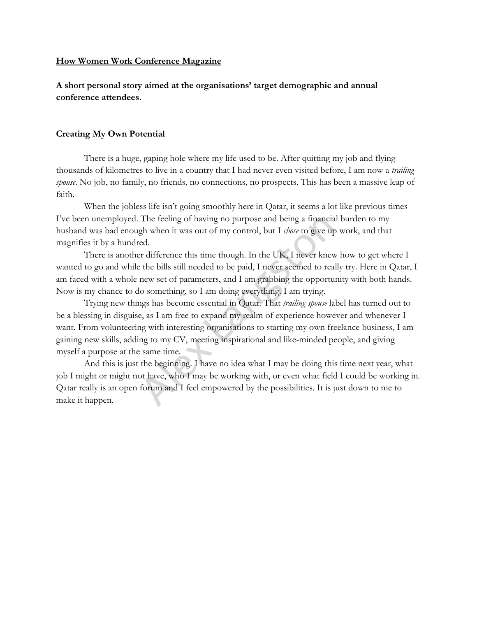## **How Women Work Conference Magazine**

**A short personal story aimed at the organisations' target demographic and annual conference attendees.** 

## **Creating My Own Potential**

There is a huge, gaping hole where my life used to be. After quitting my job and flying thousands of kilometres to live in a country that I had never even visited before, I am now a *trailing spouse*. No job, no family, no friends, no connections, no prospects. This has been a massive leap of faith.

When the jobless life isn't going smoothly here in Qatar, it seems a lot like previous times I've been unemployed. The feeling of having no purpose and being a financial burden to my husband was bad enough when it was out of my control, but I *chose* to give up work, and that magnifies it by a hundred.

There is another difference this time though. In the UK, I never knew how to get where I wanted to go and while the bills still needed to be paid, I never seemed to really try. Here in Qatar, I am faced with a whole new set of parameters, and I am grabbing the opportunity with both hands. Now is my chance to do something, so I am doing everything. I am trying.

Trying new things has become essential in Qatar. That *trailing spouse* label has turned out to be a blessing in disguise, as I am free to expand my realm of experience however and whenever I want. From volunteering with interesting organisations to starting my own freelance business, I am gaining new skills, adding to my CV, meeting inspirational and like-minded people, and giving myself a purpose at the same time. The feeling of having no purpose and being a financia<br>gh when it was out of my control, but I *chose* to give up<br>red.<br>er difference this time though. In the UK, I never knew<br>the bills still needed to be paid, I never seem

And this is just the beginning. I have no idea what I may be doing this time next year, what job I might or might not have, who I may be working with, or even what field I could be working in. Qatar really is an open forum and I feel empowered by the possibilities. It is just down to me to make it happen.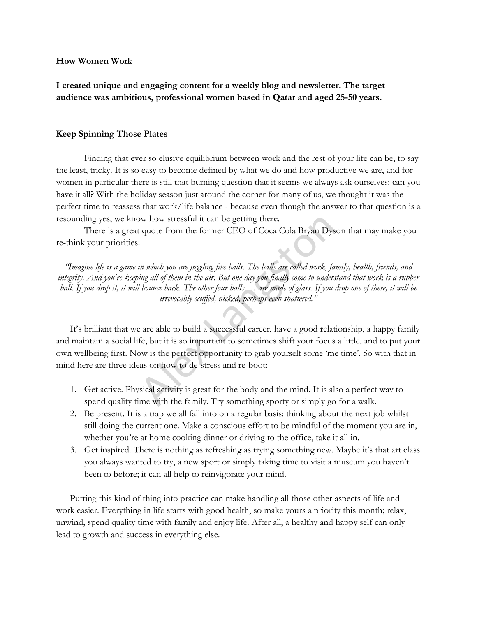## **How Women Work**

**I created unique and engaging content for a weekly blog and newsletter. The target audience was ambitious, professional women based in Qatar and aged 25-50 years.** 

## **Keep Spinning Those Plates**

Finding that ever so elusive equilibrium between work and the rest of your life can be, to say the least, tricky. It is so easy to become defined by what we do and how productive we are, and for women in particular there is still that burning question that it seems we always ask ourselves: can you have it all? With the holiday season just around the corner for many of us, we thought it was the perfect time to reassess that work/life balance - because even though the answer to that question is a resounding yes, we know how stressful it can be getting there.

There is a great quote from the former CEO of Coca Cola Bryan Dyson that may make you re-think your priorities:

"Imagine life is a game in which you are juggling five balls. The balls are called work, family, health, friends, and *integrity. And you're keeping all of them in the air. But one day you finally come to understand that work is a rubber ball. If you drop it, it will bounce back. The other four balls … are made of glass. If you drop one of these, it will be irrevocably scuffed, nicked, perhaps even shattered."*

It's brilliant that we are able to build a successful career, have a good relationship, a happy family and maintain a social life, but it is so important to sometimes shift your focus a little, and to put your own wellbeing first. Now is the perfect opportunity to grab yourself some 'me time'. So with that in mind here are three ideas on how to de-stress and re-boot: by how stressful it can be getting there.<br>
Equote from the former CEO of Coca Cola Bryan Dys<br>
Fin which you are juggling five balls. The balls are called work, fa<br>
in which you are juggling five balls. The balls are called

- 1. Get active. Physical activity is great for the body and the mind. It is also a perfect way to spend quality time with the family. Try something sporty or simply go for a walk.
- 2. Be present. It is a trap we all fall into on a regular basis: thinking about the next job whilst still doing the current one. Make a conscious effort to be mindful of the moment you are in, whether you're at home cooking dinner or driving to the office, take it all in.
- 3. Get inspired. There is nothing as refreshing as trying something new. Maybe it's that art class you always wanted to try, a new sport or simply taking time to visit a museum you haven't been to before; it can all help to reinvigorate your mind.

Putting this kind of thing into practice can make handling all those other aspects of life and work easier. Everything in life starts with good health, so make yours a priority this month; relax, unwind, spend quality time with family and enjoy life. After all, a healthy and happy self can only lead to growth and success in everything else.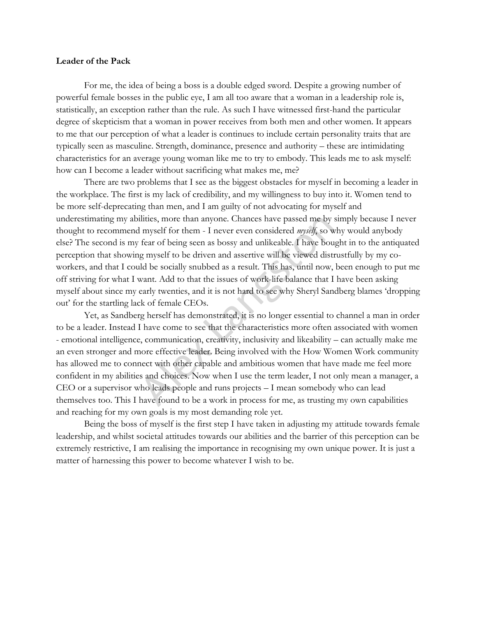### **Leader of the Pack**

For me, the idea of being a boss is a double edged sword. Despite a growing number of powerful female bosses in the public eye, I am all too aware that a woman in a leadership role is, statistically, an exception rather than the rule. As such I have witnessed first-hand the particular degree of skepticism that a woman in power receives from both men and other women. It appears to me that our perception of what a leader is continues to include certain personality traits that are typically seen as masculine. Strength, dominance, presence and authority – these are intimidating characteristics for an average young woman like me to try to embody. This leads me to ask myself: how can I become a leader without sacrificing what makes me, me?

There are two problems that I see as the biggest obstacles for myself in becoming a leader in the workplace. The first is my lack of credibility, and my willingness to buy into it. Women tend to be more self-deprecating than men, and I am guilty of not advocating for myself and underestimating my abilities, more than anyone. Chances have passed me by simply because I never thought to recommend myself for them - I never even considered *myself*, so why would anybody else? The second is my fear of being seen as bossy and unlikeable. I have bought in to the antiquated perception that showing myself to be driven and assertive will be viewed distrustfully by my coworkers, and that I could be socially snubbed as a result. This has, until now, been enough to put me off striving for what I want. Add to that the issues of work-life balance that I have been asking myself about since my early twenties, and it is not hard to see why Sheryl Sandberg blames 'dropping out' for the startling lack of female CEOs.

Yet, as Sandberg herself has demonstrated, it is no longer essential to channel a man in order to be a leader. Instead I have come to see that the characteristics more often associated with women - emotional intelligence, communication, creativity, inclusivity and likeability – can actually make me an even stronger and more effective leader. Being involved with the How Women Work community has allowed me to connect with other capable and ambitious women that have made me feel more confident in my abilities and choices. Now when I use the term leader, I not only mean a manager, a CEO or a supervisor who leads people and runs projects – I mean somebody who can lead themselves too. This I have found to be a work in process for me, as trusting my own capabilities and reaching for my own goals is my most demanding role yet. ilities, more than anyone. Chances have passed me by subsed in myself for them - I never even considered *myself*, so we fear of being seen as bossy and unlikeable. I have boug myself to be driven and assertive will be vi

Being the boss of myself is the first step I have taken in adjusting my attitude towards female leadership, and whilst societal attitudes towards our abilities and the barrier of this perception can be extremely restrictive, I am realising the importance in recognising my own unique power. It is just a matter of harnessing this power to become whatever I wish to be.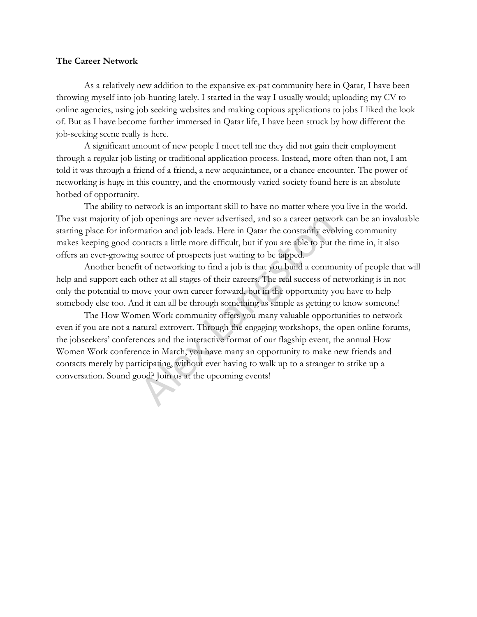# **The Career Network**

As a relatively new addition to the expansive ex-pat community here in Qatar, I have been throwing myself into job-hunting lately. I started in the way I usually would; uploading my CV to online agencies, using job seeking websites and making copious applications to jobs I liked the look of. But as I have become further immersed in Qatar life, I have been struck by how different the job-seeking scene really is here.

A significant amount of new people I meet tell me they did not gain their employment through a regular job listing or traditional application process. Instead, more often than not, I am told it was through a friend of a friend, a new acquaintance, or a chance encounter. The power of networking is huge in this country, and the enormously varied society found here is an absolute hotbed of opportunity.

The ability to network is an important skill to have no matter where you live in the world. The vast majority of job openings are never advertised, and so a career network can be an invaluable starting place for information and job leads. Here in Qatar the constantly evolving community makes keeping good contacts a little more difficult, but if you are able to put the time in, it also offers an ever-growing source of prospects just waiting to be tapped.

Another benefit of networking to find a job is that you build a community of people that will help and support each other at all stages of their careers. The real success of networking is in not only the potential to move your own career forward, but in the opportunity you have to help somebody else too. And it can all be through something as simple as getting to know someone!

The How Women Work community offers you many valuable opportunities to network even if you are not a natural extrovert. Through the engaging workshops, the open online forums, the jobseekers' conferences and the interactive format of our flagship event, the annual How Women Work conference in March, you have many an opportunity to make new friends and contacts merely by participating, without ever having to walk up to a stranger to strike up a conversation. Sound good? Join us at the upcoming events! b openings are never advertised, and so a career netwo<br>mation and job leads. Here in Qatar the constantly evo<br>ontacts a little more difficult, but if you are able to put<br>source of prospects just waiting to be tapped.<br>t of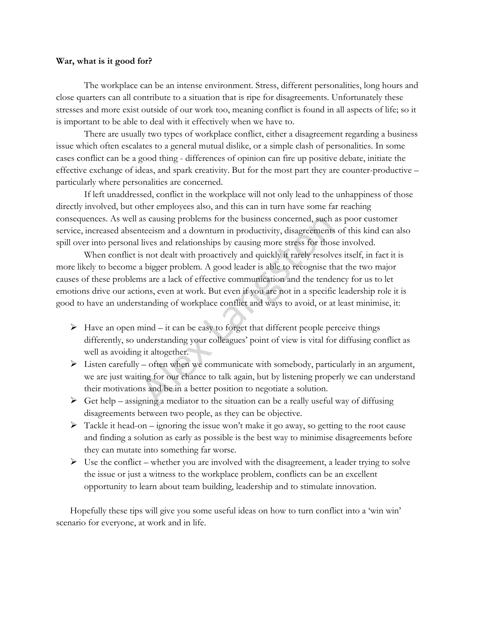### **War, what is it good for?**

The workplace can be an intense environment. Stress, different personalities, long hours and close quarters can all contribute to a situation that is ripe for disagreements. Unfortunately these stresses and more exist outside of our work too, meaning conflict is found in all aspects of life; so it is important to be able to deal with it effectively when we have to.

There are usually two types of workplace conflict, either a disagreement regarding a business issue which often escalates to a general mutual dislike, or a simple clash of personalities. In some cases conflict can be a good thing - differences of opinion can fire up positive debate, initiate the effective exchange of ideas, and spark creativity. But for the most part they are counter-productive – particularly where personalities are concerned.

If left unaddressed, conflict in the workplace will not only lead to the unhappiness of those directly involved, but other employees also, and this can in turn have some far reaching consequences. As well as causing problems for the business concerned, such as poor customer service, increased absenteeism and a downturn in productivity, disagreements of this kind can also spill over into personal lives and relationships by causing more stress for those involved.

When conflict is not dealt with proactively and quickly it rarely resolves itself, in fact it is more likely to become a bigger problem. A good leader is able to recognise that the two major causes of these problems are a lack of effective communication and the tendency for us to let emotions drive our actions, even at work. But even if you are not in a specific leadership role it is good to have an understanding of workplace conflict and ways to avoid, or at least minimise, it: as causing problems for the business concerned, such atteesm and a downturn in productivity, disagreements lives and relationships by causing more stress for thos is not dealt with proactively and quickly it rarely resolv

- $\triangleright$  Have an open mind it can be easy to forget that different people perceive things differently, so understanding your colleagues' point of view is vital for diffusing conflict as well as avoiding it altogether.
- $\triangleright$  Listen carefully often when we communicate with somebody, particularly in an argument, we are just waiting for our chance to talk again, but by listening properly we can understand their motivations and be in a better position to negotiate a solution.
- $\triangleright$  Get help assigning a mediator to the situation can be a really useful way of diffusing disagreements between two people, as they can be objective.
- $\triangleright$  Tackle it head-on ignoring the issue won't make it go away, so getting to the root cause and finding a solution as early as possible is the best way to minimise disagreements before they can mutate into something far worse.
- $\triangleright$  Use the conflict whether you are involved with the disagreement, a leader trying to solve the issue or just a witness to the workplace problem, conflicts can be an excellent opportunity to learn about team building, leadership and to stimulate innovation.

Hopefully these tips will give you some useful ideas on how to turn conflict into a 'win win' scenario for everyone, at work and in life.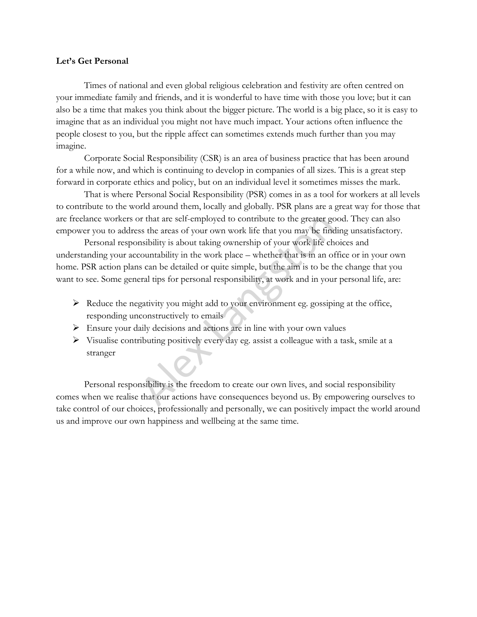# **Let's Get Personal**

Times of national and even global religious celebration and festivity are often centred on your immediate family and friends, and it is wonderful to have time with those you love; but it can also be a time that makes you think about the bigger picture. The world is a big place, so it is easy to imagine that as an individual you might not have much impact. Your actions often influence the people closest to you, but the ripple affect can sometimes extends much further than you may imagine.

Corporate Social Responsibility (CSR) is an area of business practice that has been around for a while now, and which is continuing to develop in companies of all sizes. This is a great step forward in corporate ethics and policy, but on an individual level it sometimes misses the mark.

That is where Personal Social Responsibility (PSR) comes in as a tool for workers at all levels to contribute to the world around them, locally and globally. PSR plans are a great way for those that are freelance workers or that are self-employed to contribute to the greater good. They can also empower you to address the areas of your own work life that you may be finding unsatisfactory.

Personal responsibility is about taking ownership of your work life choices and understanding your accountability in the work place – whether that is in an office or in your own home. PSR action plans can be detailed or quite simple, but the aim is to be the change that you want to see. Some general tips for personal responsibility, at work and in your personal life, are: or that are self-employed to contribute to the greater gcs ste areas of your own work life that you may be find<br>msibility is about taking ownership of your work life ch<br>countability in the work place – whether that is in a

- $\triangleright$  Reduce the negativity you might add to your environment eg. gossiping at the office, responding unconstructively to emails
- $\triangleright$  Ensure your daily decisions and actions are in line with your own values
- $\triangleright$  Visualise contributing positively every day eg. assist a colleague with a task, smile at a stranger

Personal responsibility is the freedom to create our own lives, and social responsibility comes when we realise that our actions have consequences beyond us. By empowering ourselves to take control of our choices, professionally and personally, we can positively impact the world around us and improve our own happiness and wellbeing at the same time.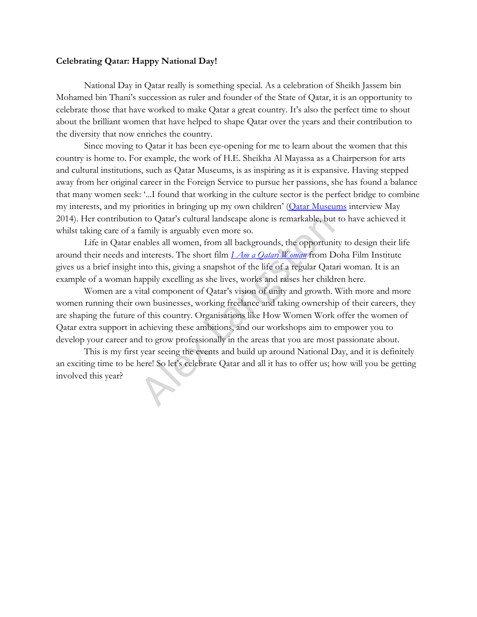### **Celebrating Qatar: Happy National Day!**

National Day in Qatar really is something special. As a celebration of Sheikh Jassem bin Mohamed bin Thani's succession as ruler and founder of the State of Qatar, it is an opportunity to celebrate those that have worked to make Qatar a great country. It's also the perfect time to shout about the brilliant women that have helped to shape Qatar over the years and their contribution to the diversity that now enriches the country.

Since moving to Qatar it has been eye-opening for me to learn about the women that this country is home to. For example, the work of H.E. Sheikha Al Mayassa as a Chairperson for arts and cultural institutions, such as Qatar Museums, is as inspiring as it is expansive. Having stepped away from her original career in the Foreign Service to pursue her passions, she has found a balance that many women seek: '...I found that working in the culture sector is the perfect bridge to combine my interests, and my priorities in bringing up my own children' ([Qatar Museums](http://www.qm.org.qa/en/blog/exclusively-our-chairperson) interview May 2014). Her contribution to Qatar's cultural landscape alone is remarkable, but to have achieved it whilst taking care of a family is arguably even more so.

Life in Qatar enables all women, from all backgrounds, the opportunity to design their life around their needs and interests. The short film *I Am a Qatari Woman* from Doha Film Institute gives us a brief insight into this, giving a snapshot of the life of a regular Qatari woman. It is an example of a woman happily excelling as she lives, works and raises her children here.

Women are a vital component of Qatar's vision of unity and growth. With more and more women running their own businesses, working freelance and taking ownership of their careers, they are shaping the future of this country. Organisations like How Women Work offer the women of Qatar extra support in achieving these ambitions, and our workshops aim to empower you to develop your career and to grow professionally in the areas that you are most passionate about. In to Qatar's cultural landscape alone is remarkable, but<br>family is arguably even more so.<br>aables all women, from all backgrounds, the opportuni<br>interests. The short film  $\frac{1}{A}m a Q_{d}tan' W_{om}$  from D<br>into this, giving a s

This is my first year seeing the events and build up around National Day, and it is definitely an exciting time to be here! So let's celebrate Qatar and all it has to offer us; how will you be getting involved this year?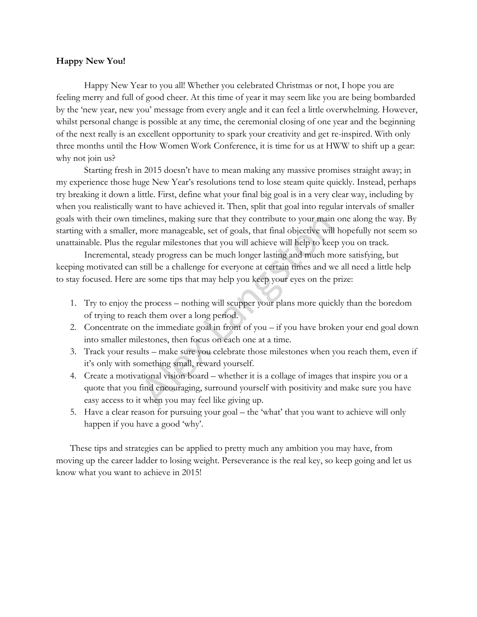# **Happy New You!**

Happy New Year to you all! Whether you celebrated Christmas or not, I hope you are feeling merry and full of good cheer. At this time of year it may seem like you are being bombarded by the 'new year, new you' message from every angle and it can feel a little overwhelming. However, whilst personal change is possible at any time, the ceremonial closing of one year and the beginning of the next really is an excellent opportunity to spark your creativity and get re-inspired. With only three months until the How Women Work Conference, it is time for us at HWW to shift up a gear: why not join us?

Starting fresh in 2015 doesn't have to mean making any massive promises straight away; in my experience those huge New Year's resolutions tend to lose steam quite quickly. Instead, perhaps try breaking it down a little. First, define what your final big goal is in a very clear way, including by when you realistically want to have achieved it. Then, split that goal into regular intervals of smaller goals with their own timelines, making sure that they contribute to your main one along the way. By starting with a smaller, more manageable, set of goals, that final objective will hopefully not seem so unattainable. Plus the regular milestones that you will achieve will help to keep you on track.

Incremental, steady progress can be much longer lasting and much more satisfying, but keeping motivated can still be a challenge for everyone at certain times and we all need a little help to stay focused. Here are some tips that may help you keep your eyes on the prize:

- 1. Try to enjoy the process nothing will scupper your plans more quickly than the boredom of trying to reach them over a long period.
- 2. Concentrate on the immediate goal in front of you if you have broken your end goal down into smaller milestones, then focus on each one at a time.
- 3. Track your results make sure you celebrate those milestones when you reach them, even if it's only with something small, reward yourself.
- 4. Create a motivational vision board whether it is a collage of images that inspire you or a quote that you find encouraging, surround yourself with positivity and make sure you have easy access to it when you may feel like giving up. melines, making sure that they contribute to your main<br>more manageable, set of goals, that final objective will<br>regular milestones that you will achieve will help to kee<br>eady progress can be much longer lasting and much m<br>
- 5. Have a clear reason for pursuing your goal the 'what' that you want to achieve will only happen if you have a good 'why'.

These tips and strategies can be applied to pretty much any ambition you may have, from moving up the career ladder to losing weight. Perseverance is the real key, so keep going and let us know what you want to achieve in 2015!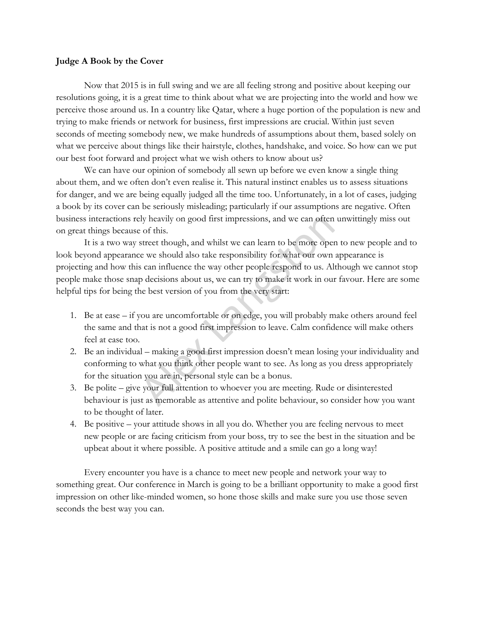## **Judge A Book by the Cover**

Now that 2015 is in full swing and we are all feeling strong and positive about keeping our resolutions going, it is a great time to think about what we are projecting into the world and how we perceive those around us. In a country like Qatar, where a huge portion of the population is new and trying to make friends or network for business, first impressions are crucial. Within just seven seconds of meeting somebody new, we make hundreds of assumptions about them, based solely on what we perceive about things like their hairstyle, clothes, handshake, and voice. So how can we put our best foot forward and project what we wish others to know about us?

We can have our opinion of somebody all sewn up before we even know a single thing about them, and we often don't even realise it. This natural instinct enables us to assess situations for danger, and we are being equally judged all the time too. Unfortunately, in a lot of cases, judging a book by its cover can be seriously misleading; particularly if our assumptions are negative. Often business interactions rely heavily on good first impressions, and we can often unwittingly miss out on great things because of this.

It is a two way street though, and whilst we can learn to be more open to new people and to look beyond appearance we should also take responsibility for what our own appearance is projecting and how this can influence the way other people respond to us. Although we cannot stop people make those snap decisions about us, we can try to make it work in our favour. Here are some helpful tips for being the best version of you from the very start: ely heavily on good first impressions, and we can often<br>
e of this.<br>
street though, and whilst we can learn to be more oper<br>
e we should also take responsibility for what our own<br>
scan influence the way other people respon

- 1. Be at ease if you are uncomfortable or on edge, you will probably make others around feel the same and that is not a good first impression to leave. Calm confidence will make others feel at ease too.
- 2. Be an individual making a good first impression doesn't mean losing your individuality and conforming to what you think other people want to see. As long as you dress appropriately for the situation you are in, personal style can be a bonus.
- 3. Be polite give your full attention to whoever you are meeting. Rude or disinterested behaviour is just as memorable as attentive and polite behaviour, so consider how you want to be thought of later.
- 4. Be positive your attitude shows in all you do. Whether you are feeling nervous to meet new people or are facing criticism from your boss, try to see the best in the situation and be upbeat about it where possible. A positive attitude and a smile can go a long way!

Every encounter you have is a chance to meet new people and network your way to something great. Our conference in March is going to be a brilliant opportunity to make a good first impression on other like-minded women, so hone those skills and make sure you use those seven seconds the best way you can.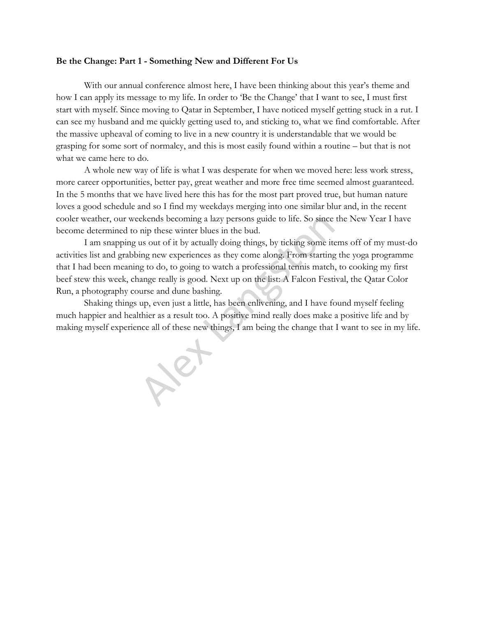#### **Be the Change: Part 1 - Something New and Different For Us**

With our annual conference almost here, I have been thinking about this year's theme and how I can apply its message to my life. In order to 'Be the Change' that I want to see, I must first start with myself. Since moving to Qatar in September, I have noticed myself getting stuck in a rut. I can see my husband and me quickly getting used to, and sticking to, what we find comfortable. After the massive upheaval of coming to live in a new country it is understandable that we would be grasping for some sort of normalcy, and this is most easily found within a routine – but that is not what we came here to do.

A whole new way of life is what I was desperate for when we moved here: less work stress, more career opportunities, better pay, great weather and more free time seemed almost guaranteed. In the 5 months that we have lived here this has for the most part proved true, but human nature loves a good schedule and so I find my weekdays merging into one similar blur and, in the recent cooler weather, our weekends becoming a lazy persons guide to life. So since the New Year I have become determined to nip these winter blues in the bud.

I am snapping us out of it by actually doing things, by ticking some items off of my must-do activities list and grabbing new experiences as they come along. From starting the yoga programme that I had been meaning to do, to going to watch a professional tennis match, to cooking my first beef stew this week, change really is good. Next up on the list: A Falcon Festival, the Qatar Color Run, a photography course and dune bashing. ekends becoming a lazy persons guide to life. So since<br>nip these winter blues in the bud.<br>us out of it by actually doing things, by ticking some it<br>ing new experiences as they come along. From starting<br>g to do, to going to

Shaking things up, even just a little, has been enlivening, and I have found myself feeling much happier and healthier as a result too. A positive mind really does make a positive life and by making myself experience all of these new things, I am being the change that I want to see in my life.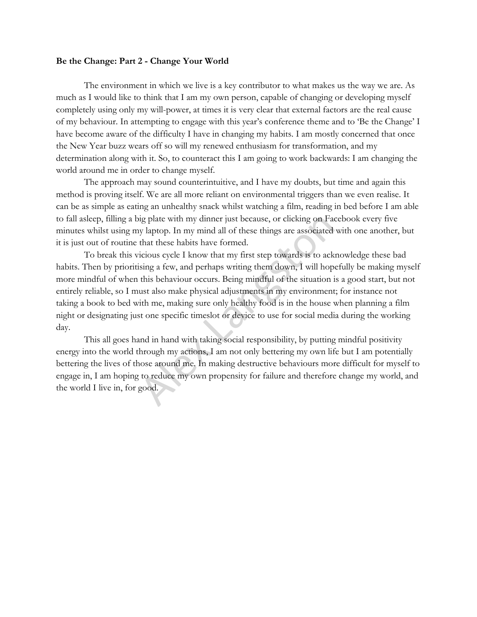### **Be the Change: Part 2 - Change Your World**

The environment in which we live is a key contributor to what makes us the way we are. As much as I would like to think that I am my own person, capable of changing or developing myself completely using only my will-power, at times it is very clear that external factors are the real cause of my behaviour. In attempting to engage with this year's conference theme and to 'Be the Change' I have become aware of the difficulty I have in changing my habits. I am mostly concerned that once the New Year buzz wears off so will my renewed enthusiasm for transformation, and my determination along with it. So, to counteract this I am going to work backwards: I am changing the world around me in order to change myself.

The approach may sound counterintuitive, and I have my doubts, but time and again this method is proving itself. We are all more reliant on environmental triggers than we even realise. It can be as simple as eating an unhealthy snack whilst watching a film, reading in bed before I am able to fall asleep, filling a big plate with my dinner just because, or clicking on Facebook every five minutes whilst using my laptop. In my mind all of these things are associated with one another, but it is just out of routine that these habits have formed.

To break this vicious cycle I know that my first step towards is to acknowledge these bad habits. Then by prioritising a few, and perhaps writing them down, I will hopefully be making myself more mindful of when this behaviour occurs. Being mindful of the situation is a good start, but not entirely reliable, so I must also make physical adjustments in my environment; for instance not taking a book to bed with me, making sure only healthy food is in the house when planning a film night or designating just one specific timeslot or device to use for social media during the working day. ig plate with my dinner just because, or clicking on Factor y laptop. In my mind all of these things are associated that these habits have formed.<br>
icious cycle I know that my first step towards is to ack sing a few, and p

This all goes hand in hand with taking social responsibility, by putting mindful positivity energy into the world through my actions, I am not only bettering my own life but I am potentially bettering the lives of those around me. In making destructive behaviours more difficult for myself to engage in, I am hoping to reduce my own propensity for failure and therefore change my world, and the world I live in, for good.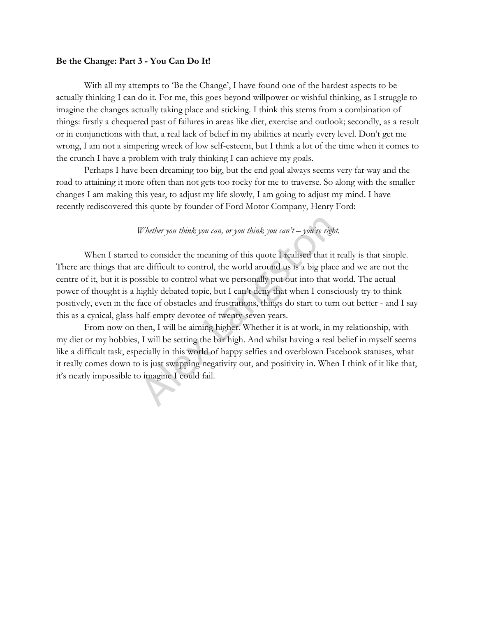### **Be the Change: Part 3 - You Can Do It!**

With all my attempts to 'Be the Change', I have found one of the hardest aspects to be actually thinking I can do it. For me, this goes beyond willpower or wishful thinking, as I struggle to imagine the changes actually taking place and sticking. I think this stems from a combination of things: firstly a chequered past of failures in areas like diet, exercise and outlook; secondly, as a result or in conjunctions with that, a real lack of belief in my abilities at nearly every level. Don't get me wrong, I am not a simpering wreck of low self-esteem, but I think a lot of the time when it comes to the crunch I have a problem with truly thinking I can achieve my goals.

Perhaps I have been dreaming too big, but the end goal always seems very far way and the road to attaining it more often than not gets too rocky for me to traverse. So along with the smaller changes I am making this year, to adjust my life slowly, I am going to adjust my mind. I have recently rediscovered this quote by founder of Ford Motor Company, Henry Ford:

# *Whether you think you can, or you think you can't – you're right.*

When I started to consider the meaning of this quote I realised that it really is that simple. There are things that are difficult to control, the world around us is a big place and we are not the centre of it, but it is possible to control what we personally put out into that world. The actual power of thought is a highly debated topic, but I can't deny that when I consciously try to think positively, even in the face of obstacles and frustrations, things do start to turn out better - and I say this as a cynical, glass-half-empty devotee of twenty-seven years. Whether you think you can, or you think you can't – you're right to consider the meaning of this quote I realised that it re difficult to control, the world around us is a big place sible to control what we personally put

From now on then, I will be aiming higher. Whether it is at work, in my relationship, with my diet or my hobbies, I will be setting the bar high. And whilst having a real belief in myself seems like a difficult task, especially in this world of happy selfies and overblown Facebook statuses, what it really comes down to is just swapping negativity out, and positivity in. When I think of it like that, it's nearly impossible to imagine I could fail.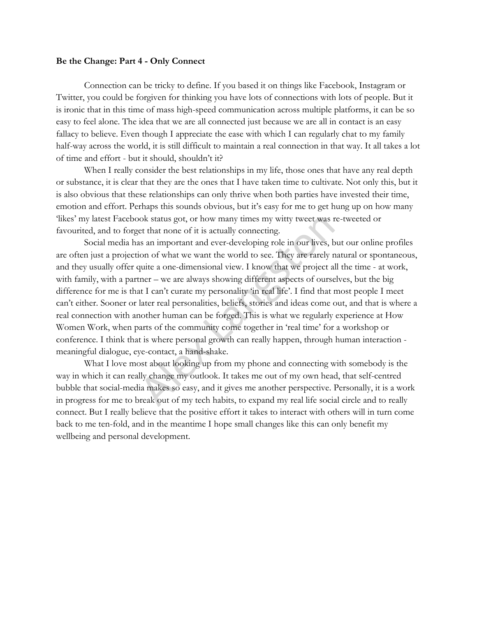### **Be the Change: Part 4 - Only Connect**

Connection can be tricky to define. If you based it on things like Facebook, Instagram or Twitter, you could be forgiven for thinking you have lots of connections with lots of people. But it is ironic that in this time of mass high-speed communication across multiple platforms, it can be so easy to feel alone. The idea that we are all connected just because we are all in contact is an easy fallacy to believe. Even though I appreciate the ease with which I can regularly chat to my family half-way across the world, it is still difficult to maintain a real connection in that way. It all takes a lot of time and effort - but it should, shouldn't it?

When I really consider the best relationships in my life, those ones that have any real depth or substance, it is clear that they are the ones that I have taken time to cultivate. Not only this, but it is also obvious that these relationships can only thrive when both parties have invested their time, emotion and effort. Perhaps this sounds obvious, but it's easy for me to get hung up on how many 'likes' my latest Facebook status got, or how many times my witty tweet was re-tweeted or favourited, and to forget that none of it is actually connecting.

Social media has an important and ever-developing role in our lives, but our online profiles are often just a projection of what we want the world to see. They are rarely natural or spontaneous, and they usually offer quite a one-dimensional view. I know that we project all the time - at work, with family, with a partner – we are always showing different aspects of ourselves, but the big difference for me is that I can't curate my personality 'in real life'. I find that most people I meet can't either. Sooner or later real personalities, beliefs, stories and ideas come out, and that is where a real connection with another human can be forged. This is what we regularly experience at How Women Work, when parts of the community come together in 'real time' for a workshop or conference. I think that is where personal growth can really happen, through human interaction meaningful dialogue, eye-contact, a hand-shake. ok status got, or how many times my witty tweet was r<br>et that none of it is actually connecting.<br>In an important and ever-developing role in our lives, b<br>ion of what we want the world to see. They are rarely r<br>quite a one-

What I love most about looking up from my phone and connecting with somebody is the way in which it can really change my outlook. It takes me out of my own head, that self-centred bubble that social-media makes so easy, and it gives me another perspective. Personally, it is a work in progress for me to break out of my tech habits, to expand my real life social circle and to really connect. But I really believe that the positive effort it takes to interact with others will in turn come back to me ten-fold, and in the meantime I hope small changes like this can only benefit my wellbeing and personal development.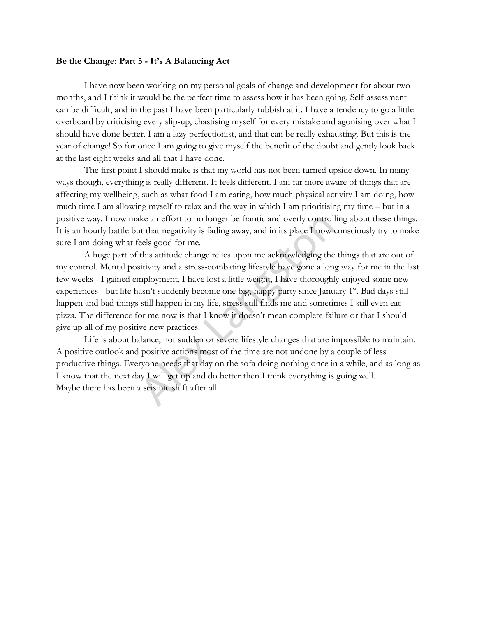### **Be the Change: Part 5 - It's A Balancing Act**

I have now been working on my personal goals of change and development for about two months, and I think it would be the perfect time to assess how it has been going. Self-assessment can be difficult, and in the past I have been particularly rubbish at it. I have a tendency to go a little overboard by criticising every slip-up, chastising myself for every mistake and agonising over what I should have done better. I am a lazy perfectionist, and that can be really exhausting. But this is the year of change! So for once I am going to give myself the benefit of the doubt and gently look back at the last eight weeks and all that I have done.

The first point I should make is that my world has not been turned upside down. In many ways though, everything is really different. It feels different. I am far more aware of things that are affecting my wellbeing, such as what food I am eating, how much physical activity I am doing, how much time I am allowing myself to relax and the way in which I am prioritising my time – but in a positive way. I now make an effort to no longer be frantic and overly controlling about these things. It is an hourly battle but that negativity is fading away, and in its place I now consciously try to make sure I am doing what feels good for me.

A huge part of this attitude change relies upon me acknowledging the things that are out of my control. Mental positivity and a stress-combating lifestyle have gone a long way for me in the last few weeks - I gained employment, I have lost a little weight, I have thoroughly enjoyed some new experiences - but life hasn't suddenly become one big, happy party since January 1<sup>st</sup>. Bad days still happen and bad things still happen in my life, stress still finds me and sometimes I still even eat pizza. The difference for me now is that I know it doesn't mean complete failure or that I should give up all of my positive new practices. ke an effort to no longer be frantic and overly controll<br>to that negativity is fading away, and in its place I now e<br>eels good for me.<br>this attitude change relies upon me acknowledging the<br>sitivity and a stress-combating l

Life is about balance, not sudden or severe lifestyle changes that are impossible to maintain. A positive outlook and positive actions most of the time are not undone by a couple of less productive things. Everyone needs that day on the sofa doing nothing once in a while, and as long as I know that the next day I will get up and do better then I think everything is going well. Maybe there has been a seismic shift after all.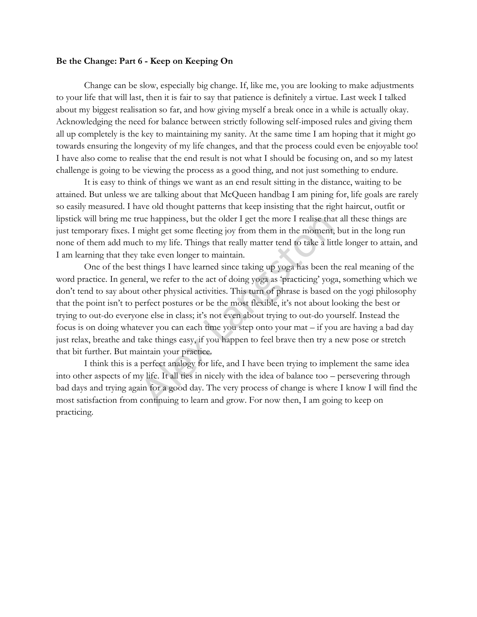### **Be the Change: Part 6 - Keep on Keeping On**

Change can be slow, especially big change. If, like me, you are looking to make adjustments to your life that will last, then it is fair to say that patience is definitely a virtue. Last week I talked about my biggest realisation so far, and how giving myself a break once in a while is actually okay. Acknowledging the need for balance between strictly following self-imposed rules and giving them all up completely is the key to maintaining my sanity. At the same time I am hoping that it might go towards ensuring the longevity of my life changes, and that the process could even be enjoyable too! I have also come to realise that the end result is not what I should be focusing on, and so my latest challenge is going to be viewing the process as a good thing, and not just something to endure.

It is easy to think of things we want as an end result sitting in the distance, waiting to be attained. But unless we are talking about that McQueen handbag I am pining for, life goals are rarely so easily measured. I have old thought patterns that keep insisting that the right haircut, outfit or lipstick will bring me true happiness, but the older I get the more I realise that all these things are just temporary fixes. I might get some fleeting joy from them in the moment, but in the long run none of them add much to my life. Things that really matter tend to take a little longer to attain, and I am learning that they take even longer to maintain.

One of the best things I have learned since taking up yoga has been the real meaning of the word practice. In general, we refer to the act of doing yoga as 'practicing' yoga, something which we don't tend to say about other physical activities. This turn of phrase is based on the yogi philosophy that the point isn't to perfect postures or be the most flexible, it's not about looking the best or trying to out-do everyone else in class; it's not even about trying to out-do yourself. Instead the focus is on doing whatever you can each time you step onto your mat – if you are having a bad day just relax, breathe and take things easy, if you happen to feel brave then try a new pose or stretch that bit further. But maintain your practice. Thus the older I get the more I realise than might get some fleeting joy from them in the moment, h to my life. Things that really matter tend to take a lit take even longer to maintain.<br>
things I have learned since takin

I think this is a perfect analogy for life, and I have been trying to implement the same idea into other aspects of my life. It all ties in nicely with the idea of balance too – persevering through bad days and trying again for a good day. The very process of change is where I know I will find the most satisfaction from continuing to learn and grow. For now then, I am going to keep on practicing.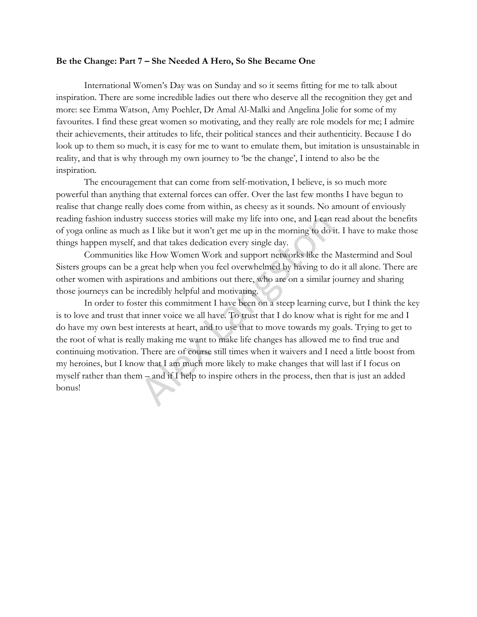#### **Be the Change: Part 7 – She Needed A Hero, So She Became One**

International Women's Day was on Sunday and so it seems fitting for me to talk about inspiration. There are some incredible ladies out there who deserve all the recognition they get and more: see Emma Watson, Amy Poehler, Dr Amal Al-Malki and Angelina Jolie for some of my favourites. I find these great women so motivating, and they really are role models for me; I admire their achievements, their attitudes to life, their political stances and their authenticity. Because I do look up to them so much, it is easy for me to want to emulate them, but imitation is unsustainable in reality, and that is why through my own journey to 'be the change', I intend to also be the inspiration.

The encouragement that can come from self-motivation, I believe, is so much more powerful than anything that external forces can offer. Over the last few months I have begun to realise that change really does come from within, as cheesy as it sounds. No amount of enviously reading fashion industry success stories will make my life into one, and I can read about the benefits of yoga online as much as I like but it won't get me up in the morning to do it. I have to make those things happen myself, and that takes dedication every single day.

Communities like How Women Work and support networks like the Mastermind and Soul Sisters groups can be a great help when you feel overwhelmed by having to do it all alone. There are other women with aspirations and ambitions out there, who are on a similar journey and sharing those journeys can be incredibly helpful and motivating.

In order to foster this commitment I have been on a steep learning curve, but I think the key is to love and trust that inner voice we all have. To trust that I do know what is right for me and I do have my own best interests at heart, and to use that to move towards my goals. Trying to get to the root of what is really making me want to make life changes has allowed me to find true and continuing motivation. There are of course still times when it waivers and I need a little boost from my heroines, but I know that I am much more likely to make changes that will last if I focus on myself rather than them – and if I help to inspire others in the process, then that is just an added bonus! y success stories will make my life into one, and I can is a I like but it won't get me up in the morning to do is and that takes dedication every single day.<br>
ike How Women Work and support networks like the great help w